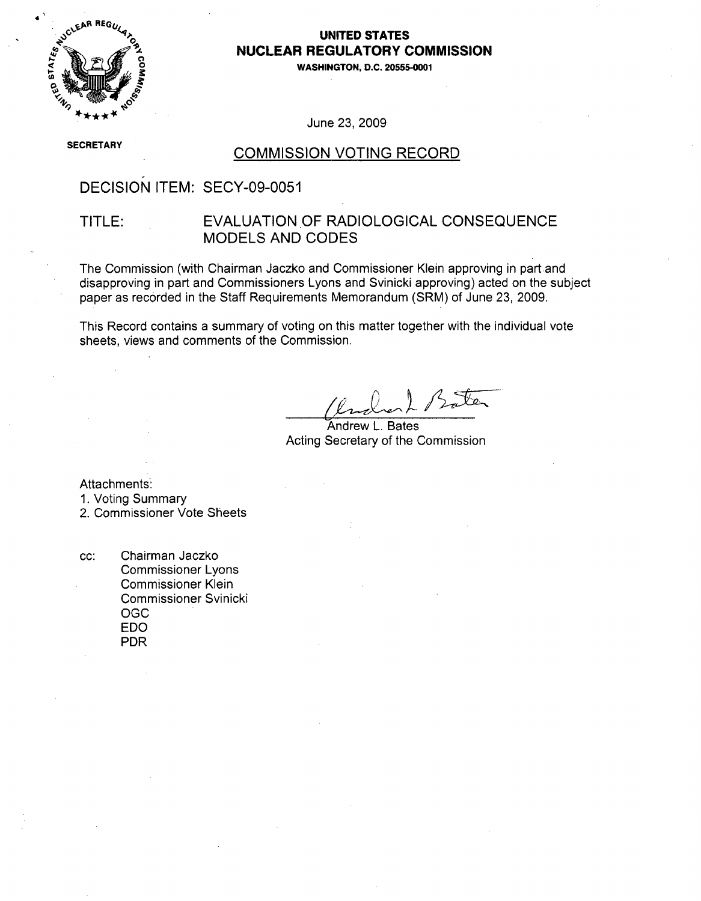

### **UNITED STATES NUCLEAR** REGULATORY **COMMISSION**

**.0 WASHINGTON, D.C. 20555-0001**

June 23, 2009

**SECRETARY** 

## **COMMISSION VOTING RECORD**

# DECISION ITEM: SECY-09-0051

## TITLE: EVALUATION.OF RADIOLOGICAL CONSEQUENCE MODELS AND CODES

The Commission (with Chairman Jaczko and Commissioner Klein approving in part and disapproving in part and Commissioners Lyons and Svinicki approving) acted on the subject paper as recorded in the Staff Requirements Memorandum (SRM) of June 23, 2009.

This Record contains a summary of voting on this matter together with the individual vote sheets, views and comments of the Commission.

Andrew L. Bates Acting Secretary of the Commission

Attachments:

1. Voting Summary

2. Commissioner Vote Sheets

cc: Chairman Jaczko Commissioner Lyons Commissioner Klein Commissioner Svinicki OGC EDO PDR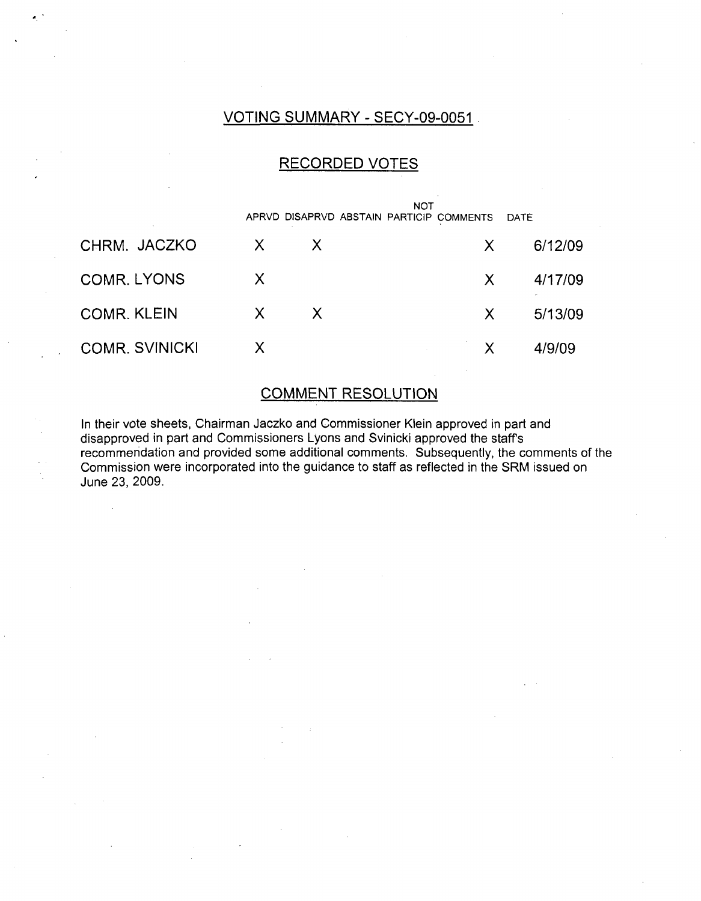## VOTING SUMMARY - SECY-09-0051

# RECORDED VOTES

|                       |    |              | <b>NOT</b><br>APRVD DISAPRVD ABSTAIN PARTICIP COMMENTS | DATE    |
|-----------------------|----|--------------|--------------------------------------------------------|---------|
| CHRM. JACZKO          | X. | $\mathsf{X}$ | X.                                                     | 6/12/09 |
| <b>COMR. LYONS</b>    | X  |              | X                                                      | 4/17/09 |
| <b>COMR. KLEIN</b>    | X. | X            | X.                                                     | 5/13/09 |
| <b>COMR. SVINICKI</b> |    |              | X                                                      | 4/9/09  |

# COMMENT RESOLUTION

In their vote sheets, Chairman Jaczko and Commissioner Klein approved in part and disapproved in part and Commissioners Lyons and Svinicki approved the staff's recommendation and provided some additional comments. Subsequently, the comments of the Commission were incorporated into the guidance to staff as reflected in the SRM issued on June 23, 2009.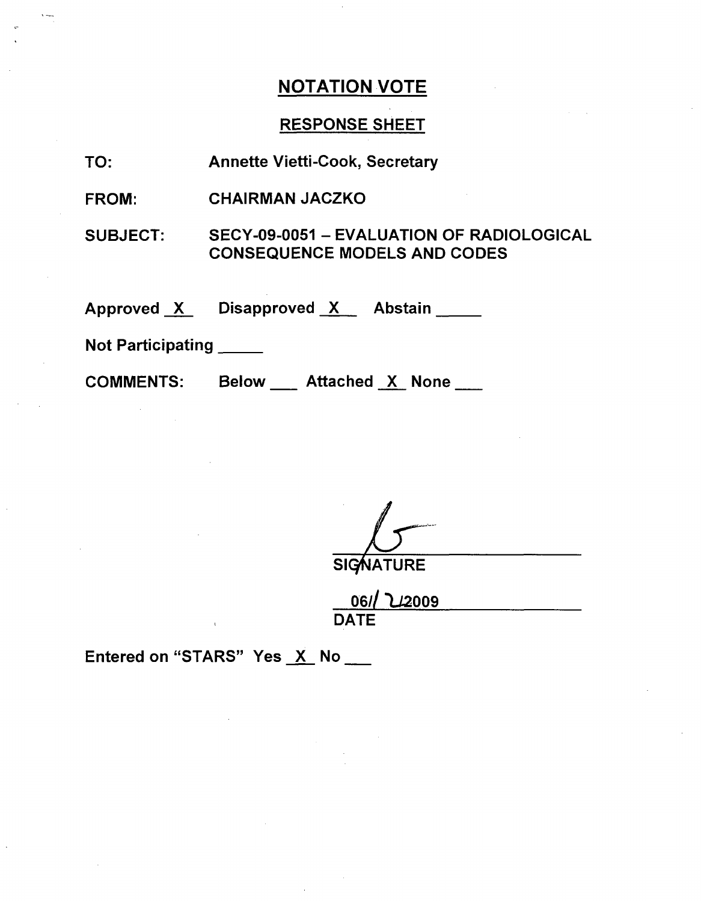# RESPONSE SHEET

TO: Annette Vietti-Cook, Secretary

FROM: CHAIRMAN JACZKO

SUBJECT: SECY-09-0051 - EVALUATION OF RADIOLOGICAL CONSEQUENCE MODELS AND CODES

Approved X Disapproved X Abstain

Not Participating **\_**

COMMENTS: Below Attached X None

**SIGNATURE** 

|             | 06/ 22009 |  |  |
|-------------|-----------|--|--|
| <b>DATE</b> |           |  |  |

Entered on "STARS" Yes X No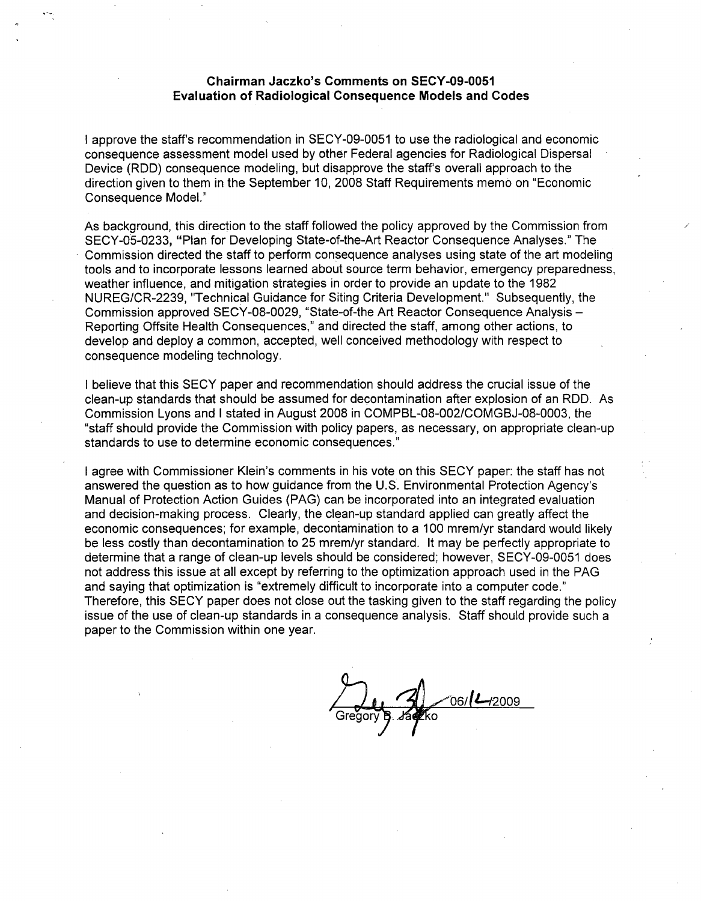#### Chairman Jaczko's Comments on **SECY-09-0051** Evaluation of Radiological Consequence Models and Codes

I approve the staff's recommendation in SECY-09-0051 to use the radiological and economic consequence assessment model used by other Federal agencies for Radiological Dispersal Device (RDD) consequence modeling, but disapprove the staff's overall approach to the direction given to them in the September 10, 2008 Staff Requirements memo on "Economic Consequence Model."

As background, this direction to the staff followed the policy approved by the Commission from SECY-05-0233, "Plan for Developing State-of-the-Art Reactor Consequence Analyses." The Commission directed the staff to perform consequence analyses using state of the art modeling tools and to incorporate lessons learned about source term behavior, emergency preparedness, weather influence, and mitigation strategies in order to provide an update to the 1982 NUREG/CR-2239, "Technical Guidance for Siting Criteria Development." Subsequently, the Commission approved SECY-08-0029, "State-of-the Art Reactor Consequence Analysis - Reporting Offsite Health Consequences," and directed the staff, among other actions, to develop and deploy a common, accepted, well conceived methodology with respect to consequence modeling technology.

I believe that this SECY paper and recommendation should address the crucial issue of the clean-up standards that should be assumed for decontamination after explosion of an RDD. As Commission Lyons and I stated in August 2008 in COMPBL-08-002/COMGBJ-08-0003, the "staff should provide the Commission with policy papers, as necessary, on appropriate clean-up standards to use to determine economic consequences."

I agree with Commissioner Klein's comments in his vote on this SECY paper: the staff has not answered the question as to how guidance from the U.S. Environmental Protection Agency's Manual of Protection Action Guides (PAG) can be incorporated into an integrated evaluation and decision-making process. Clearly, the clean-up standard applied can greatly affect the economic consequences; for example, decontamination to a 100 mrem/yr standard would likely be less costly than decontamination to 25 mrem/yr standard. It may be perfectly appropriate to determine that a range of clean-up levels should be considered; however, SECY-09-0051 does not address this issue at all except by referring to the optimization approach used in the PAG and saying that optimization is "extremely difficult to incorporate into a computer code." Therefore, this SECY paper does not close out the tasking given to the staff regarding the policy issue of the use of clean-up standards in a consequence analysis. Staff should provide such a paper to the Commission within one year.

06/ **L-**/2009  $G$ regory  $B$ . Jasko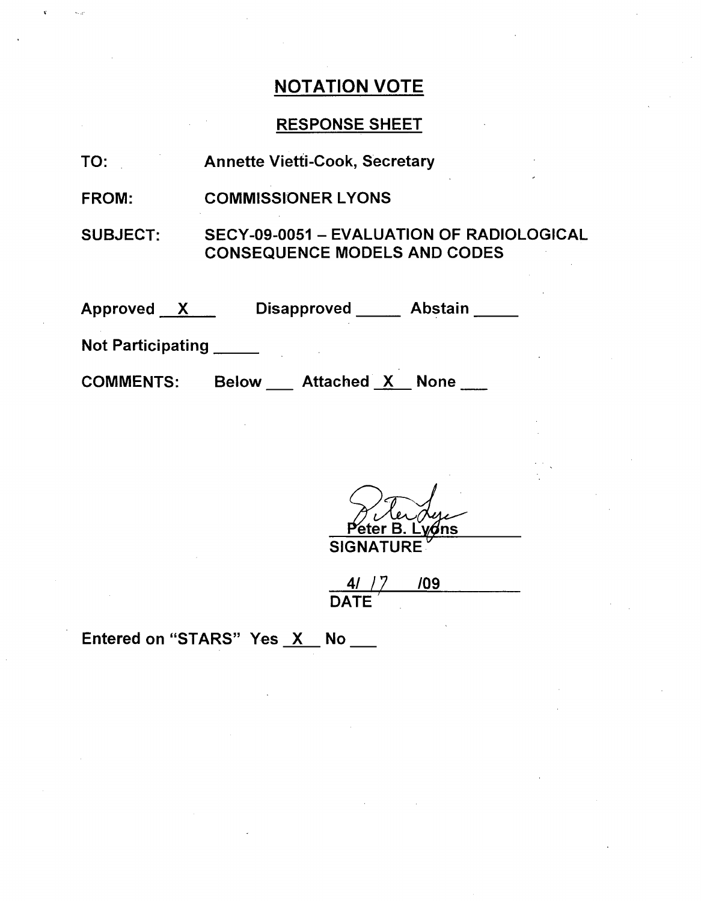# RESPONSE SHEET

| <b>Annette Vietti-Cook, Secretary</b><br>TO: |  |
|----------------------------------------------|--|
|----------------------------------------------|--|

FROM: COMMISSIONER LYONS

SUBJECT: SECY-09-0051 - EVALUATION OF RADIOLOGICAL CONSEQUENCE MODELS AND CODES

| <b>Approved</b>          | <b>Disapproved</b>                | <b>Abstain</b> |
|--------------------------|-----------------------------------|----------------|
| <b>Not Participating</b> |                                   |                |
| <b>COMMENTS:</b>         | <b>Attached X</b><br><b>Below</b> | <b>None</b>    |

er F ⁄ons SIGNATURE **-**

4/ **/7 /09** DATE

Entered on "STARS" Yes  $X$  No  $\_\_\_\$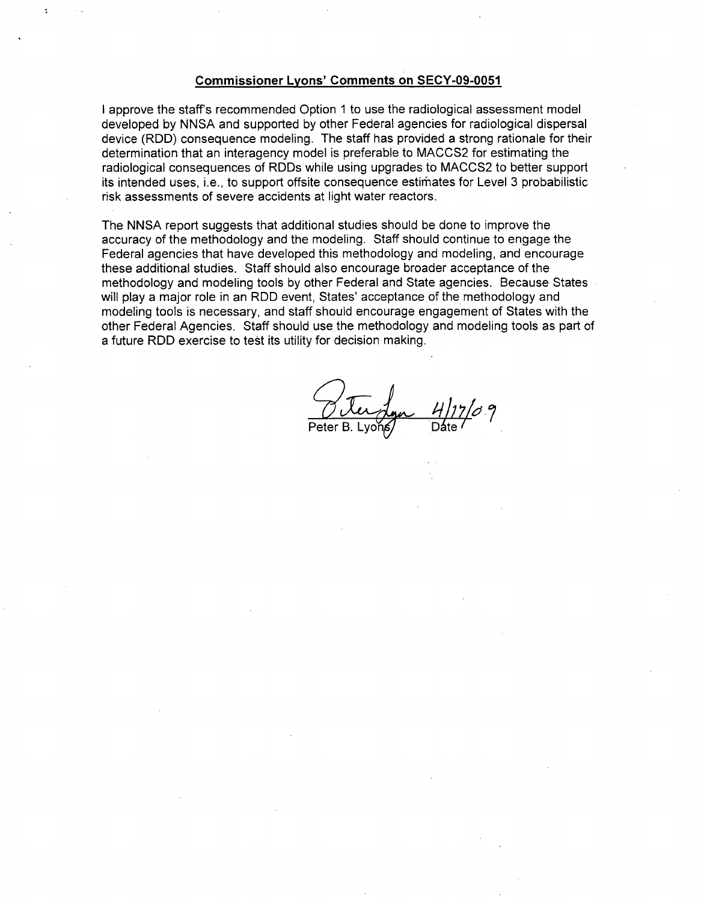#### Commissioner Lyons' Comments on **SECY-09-0051**

I approve the staff's recommended Option 1 to use the radiological assessment model developed by NNSA and supported by other Federal agencies for radiological dispersal device (RDD) consequence modeling. The staff has provided a strong rationale for their determination that an interagency model is preferable to MACCS2 for estimating the radiological consequences of RDDs while using upgrades to MACCS2 to better support its intended uses, i.e., to support offsite consequence estimates for Level 3 probabilistic risk assessments of severe accidents at light water reactors.

The NNSA report suggests that additional studies should be done to improve the accuracy of the methodology and the modeling. Staff should continue to engage the Federal agencies that have developed this methodology and modeling, and encourage these additional studies. Staff should also encourage broader acceptance of the methodology and modeling tools by other Federal and State agencies. Because States will play a major role in an RDD event, States' acceptance of the methodology and modeling tools is necessary, and staff should encourage engagement of States with the other Federal Agencies. Staff should use the methodology and modeling tools as part of a future RDD exercise to test its utility for decision making.

Peter B. Lyons Date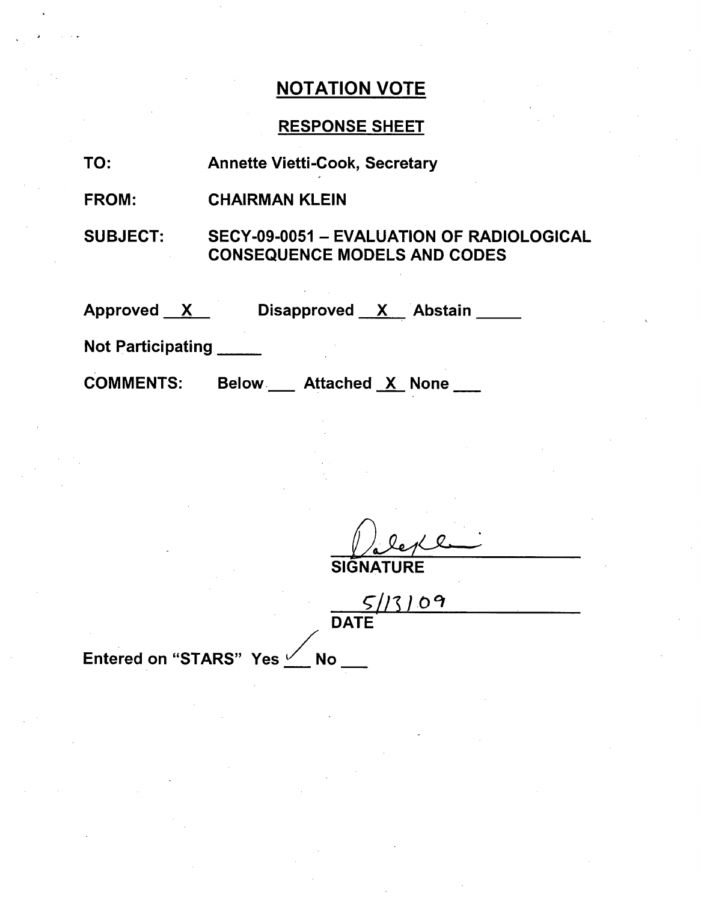# RESPONSE SHEET

| TO:                      | <b>Annette Vietti-Cook, Secretary</b>                                            |
|--------------------------|----------------------------------------------------------------------------------|
| <b>FROM:</b>             | <b>CHAIRMAN KLEIN</b>                                                            |
| <b>SUBJECT:</b>          | SECY-09-0051 - EVALUATION OF RADIOLOGICAL<br><b>CONSEQUENCE MODELS AND CODES</b> |
| Approved X               | Disapproved X Abstain                                                            |
| <b>Not Participating</b> |                                                                                  |
| <b>COMMENTS:</b>         | <b>Below Attached X None</b>                                                     |

**SIGNATURE** 

|      | 5113109 |  |
|------|---------|--|
| DATE |         |  |

Entered on "STARS" Yes <u>Verse</u> No.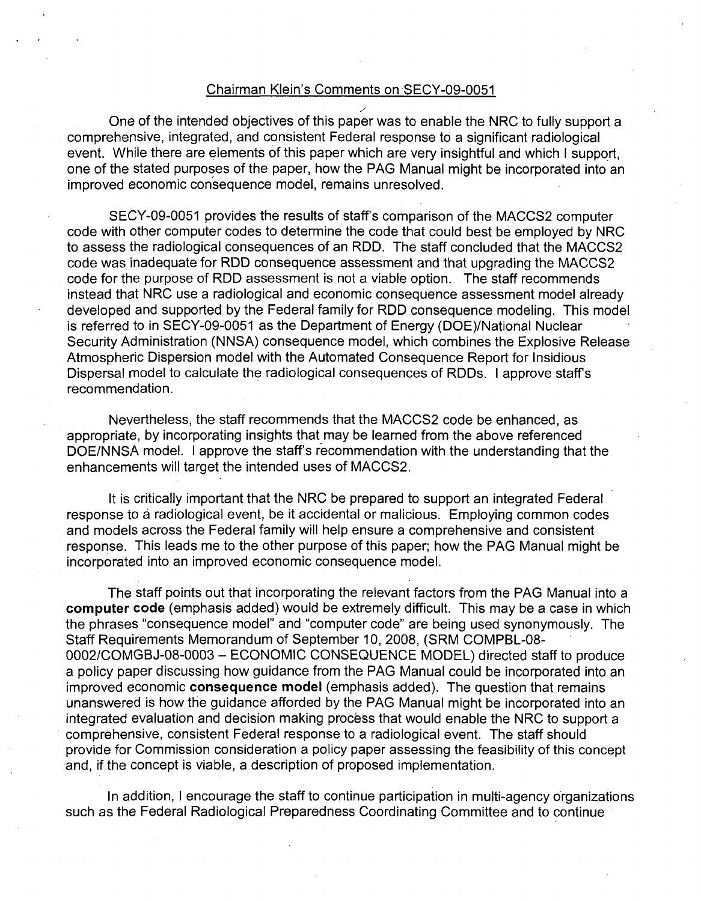#### Chairman Klein's Comments on SECY-09-0051

One of the intended objectives of this paper was to enable the NRC to fully support a comprehensive, integrated, and consistent Federal response to a significant radiological event. While there are elements of this paper which are very insightful and which I support, one of the stated purposes of the paper, how the PAG Manual might be incorporated into an improved economic consequence model, remains unresolved.

SECY-09-0051 provides the results of staff's comparison of the MACCS2 computer code with other computer codes to determine the code that could best be employed by NRC to assess the radiological consequences of an RDD. The staff concluded that the MACCS2 code was inadequate for RDD consequence assessment and that upgrading the MACCS2 code for the purpose of RDD assessment is not a viable option. The staff recommends instead that NRC use a radiological and economic consequence assessment model already developed and supported by the Federal family for RDD consequence modeling. This model is referred to in SECY-09-0051 as the Department of Energy (DOE)/National Nuclear Security Administration (NNSA) consequence model, which combines the Explosive Release Atmospheric Dispersion model with the Automated Consequence Report for Insidious Dispersal model to calculate the radiological consequences of RDDs. I approve staffs recommendation.

Nevertheless, the staff recommends that the MACCS2 code be enhanced, as appropriate, by incorporating insights that may be learned from the above referenced DOE/NNSA model. I approve the staff's recommendation with the understanding that the enhancements will target the intended uses of MACCS2.

It is critically important that the NRC be prepared to support an integrated Federal response to a radiological event, be it accidental or malicious. Employing common codes and models across the Federal family will help ensure a comprehensive and consistent response. This leads me to the other purpose of this paper; how the PAG Manual might be incorporated into an improved economic consequence model.

The staff points out that incorporating the relevant factors from the PAG Manual into a computer code (emphasis added) would be extremely difficult. This may be a case in which the phrases "consequence model" and "computer code" are being used synonymously. The Staff Requirements Memorandum of September 10, 2008, (SRM COMPBL-08- 0002/COMGBJ-08-0003 - ECONOMIC CONSEQUENCE MODEL) directed staff to produce a policy paper discussing how guidance from the PAG Manual could be incorporated into an improved economic consequence model (emphasis added). The question that remains unanswered is how the guidance afforded by the PAG Manual might be incorporated into an integrated evaluation and decision making process that would enable the NRC to support a comprehensive, consistent Federal response to a radiological event. The staff should provide for Commission consideration a policy paper assessing the feasibility of this concept and, if the concept is viable, a description of proposed implementation.

In addition, I encourage the staff to continue participation in multi-agency organizations such as the Federal Radiological Preparedness Coordinating Committee and to continue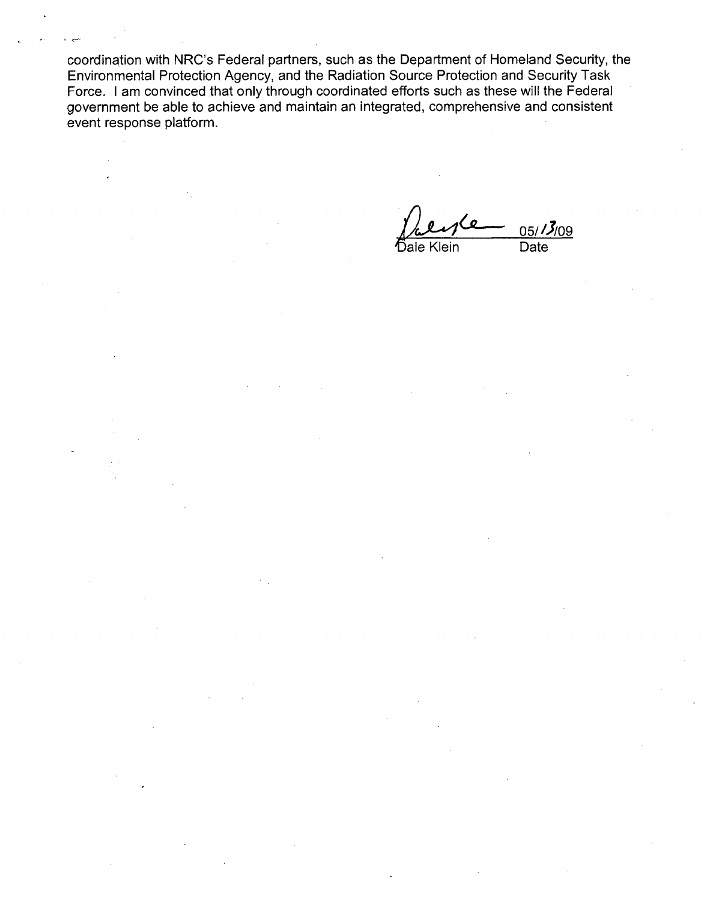coordination with NRC's Federal partners, such as the Department of Homeland Security, the Environmental Protection Agency, and the Radiation Source Protection and Security Task Force. I am convinced that only through coordinated efforts such as these will the Federal government be able to achieve and maintain an integrated, comprehensive and consistent event response platform.

 $05/13/09$ bale Klein Date